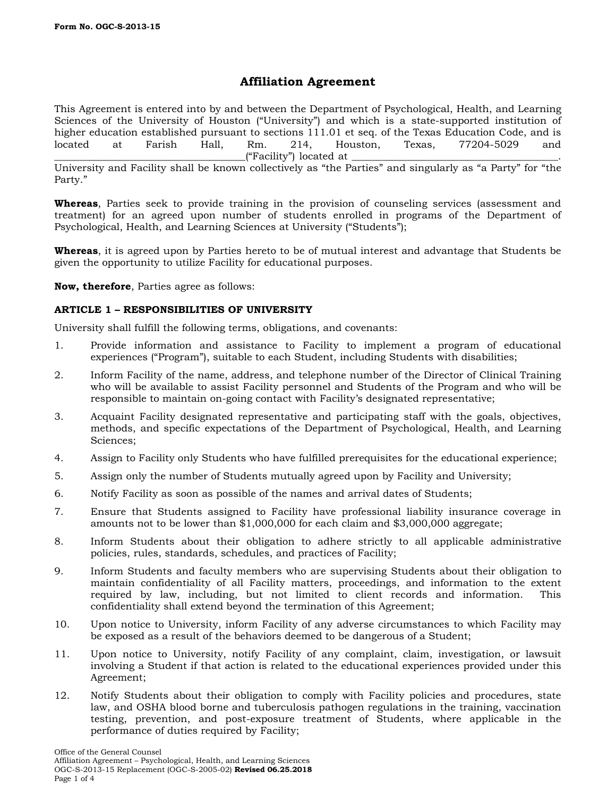# **Affiliation Agreement**

This Agreement is entered into by and between the Department of Psychological, Health, and Learning Sciences of the University of Houston ("University") and which is a state-supported institution of higher education established pursuant to sections 111.01 et seq. of the Texas Education Code, and is located at Farish Hall, Rm. 214, Houston, Texas, 77204-5029 and \_\_\_\_\_\_\_\_\_\_\_\_\_\_\_\_\_\_\_\_\_\_\_\_\_\_\_\_\_\_\_\_\_\_\_\_\_\_("Facility") located at \_\_\_\_\_\_\_\_\_\_\_\_\_\_\_\_\_\_\_\_\_\_\_\_\_\_\_\_\_\_\_\_\_\_\_\_\_\_\_\_\_.

University and Facility shall be known collectively as "the Parties" and singularly as "a Party" for "the Party."

**Whereas**, Parties seek to provide training in the provision of counseling services (assessment and treatment) for an agreed upon number of students enrolled in programs of the Department of Psychological, Health, and Learning Sciences at University ("Students");

**Whereas**, it is agreed upon by Parties hereto to be of mutual interest and advantage that Students be given the opportunity to utilize Facility for educational purposes.

**Now, therefore**, Parties agree as follows:

# **ARTICLE 1 – RESPONSIBILITIES OF UNIVERSITY**

University shall fulfill the following terms, obligations, and covenants:

- 1. Provide information and assistance to Facility to implement a program of educational experiences ("Program"), suitable to each Student, including Students with disabilities;
- 2. Inform Facility of the name, address, and telephone number of the Director of Clinical Training who will be available to assist Facility personnel and Students of the Program and who will be responsible to maintain on-going contact with Facility's designated representative;
- 3. Acquaint Facility designated representative and participating staff with the goals, objectives, methods, and specific expectations of the Department of Psychological, Health, and Learning Sciences;
- 4. Assign to Facility only Students who have fulfilled prerequisites for the educational experience;
- 5. Assign only the number of Students mutually agreed upon by Facility and University;
- 6. Notify Facility as soon as possible of the names and arrival dates of Students;
- 7. Ensure that Students assigned to Facility have professional liability insurance coverage in amounts not to be lower than \$1,000,000 for each claim and \$3,000,000 aggregate;
- 8. Inform Students about their obligation to adhere strictly to all applicable administrative policies, rules, standards, schedules, and practices of Facility;
- 9. Inform Students and faculty members who are supervising Students about their obligation to maintain confidentiality of all Facility matters, proceedings, and information to the extent required by law, including, but not limited to client records and information. This confidentiality shall extend beyond the termination of this Agreement;
- 10. Upon notice to University, inform Facility of any adverse circumstances to which Facility may be exposed as a result of the behaviors deemed to be dangerous of a Student;
- 11. Upon notice to University, notify Facility of any complaint, claim, investigation, or lawsuit involving a Student if that action is related to the educational experiences provided under this Agreement;
- 12. Notify Students about their obligation to comply with Facility policies and procedures, state law, and OSHA blood borne and tuberculosis pathogen regulations in the training, vaccination testing, prevention, and post-exposure treatment of Students, where applicable in the performance of duties required by Facility;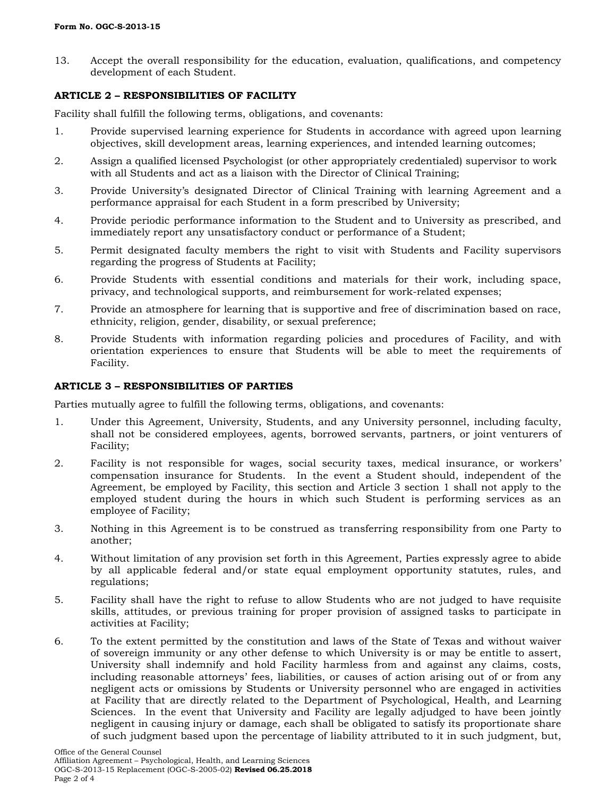13. Accept the overall responsibility for the education, evaluation, qualifications, and competency development of each Student.

## **ARTICLE 2 – RESPONSIBILITIES OF FACILITY**

Facility shall fulfill the following terms, obligations, and covenants:

- 1. Provide supervised learning experience for Students in accordance with agreed upon learning objectives, skill development areas, learning experiences, and intended learning outcomes;
- 2. Assign a qualified licensed Psychologist (or other appropriately credentialed) supervisor to work with all Students and act as a liaison with the Director of Clinical Training;
- 3. Provide University's designated Director of Clinical Training with learning Agreement and a performance appraisal for each Student in a form prescribed by University;
- 4. Provide periodic performance information to the Student and to University as prescribed, and immediately report any unsatisfactory conduct or performance of a Student;
- 5. Permit designated faculty members the right to visit with Students and Facility supervisors regarding the progress of Students at Facility;
- 6. Provide Students with essential conditions and materials for their work, including space, privacy, and technological supports, and reimbursement for work-related expenses;
- 7. Provide an atmosphere for learning that is supportive and free of discrimination based on race, ethnicity, religion, gender, disability, or sexual preference;
- 8. Provide Students with information regarding policies and procedures of Facility, and with orientation experiences to ensure that Students will be able to meet the requirements of Facility.

# **ARTICLE 3 – RESPONSIBILITIES OF PARTIES**

Parties mutually agree to fulfill the following terms, obligations, and covenants:

- 1. Under this Agreement, University, Students, and any University personnel, including faculty, shall not be considered employees, agents, borrowed servants, partners, or joint venturers of Facility;
- 2. Facility is not responsible for wages, social security taxes, medical insurance, or workers' compensation insurance for Students. In the event a Student should, independent of the Agreement, be employed by Facility, this section and Article 3 section 1 shall not apply to the employed student during the hours in which such Student is performing services as an employee of Facility;
- 3. Nothing in this Agreement is to be construed as transferring responsibility from one Party to another;
- 4. Without limitation of any provision set forth in this Agreement, Parties expressly agree to abide by all applicable federal and/or state equal employment opportunity statutes, rules, and regulations;
- 5. Facility shall have the right to refuse to allow Students who are not judged to have requisite skills, attitudes, or previous training for proper provision of assigned tasks to participate in activities at Facility;
- 6. To the extent permitted by the constitution and laws of the State of Texas and without waiver of sovereign immunity or any other defense to which University is or may be entitle to assert, University shall indemnify and hold Facility harmless from and against any claims, costs, including reasonable attorneys' fees, liabilities, or causes of action arising out of or from any negligent acts or omissions by Students or University personnel who are engaged in activities at Facility that are directly related to the Department of Psychological, Health, and Learning Sciences. In the event that University and Facility are legally adjudged to have been jointly negligent in causing injury or damage, each shall be obligated to satisfy its proportionate share of such judgment based upon the percentage of liability attributed to it in such judgment, but,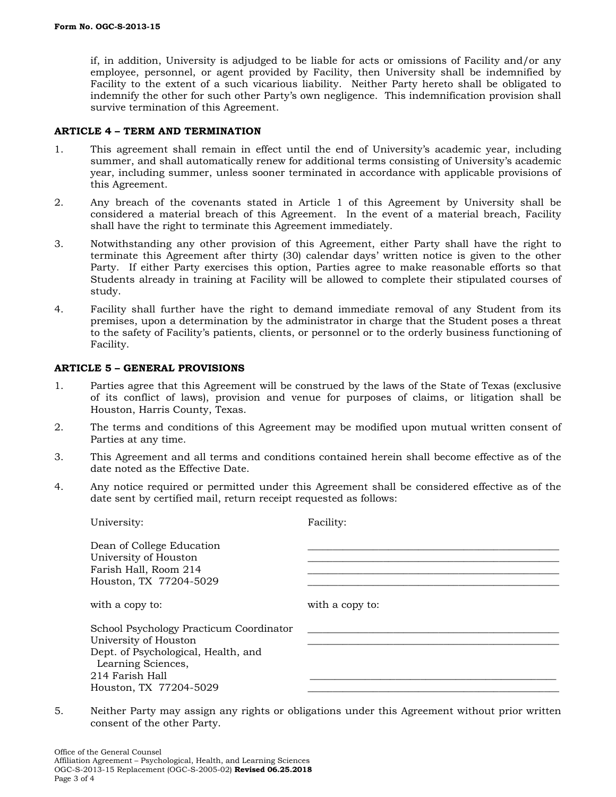if, in addition, University is adjudged to be liable for acts or omissions of Facility and/or any employee, personnel, or agent provided by Facility, then University shall be indemnified by Facility to the extent of a such vicarious liability. Neither Party hereto shall be obligated to indemnify the other for such other Party's own negligence. This indemnification provision shall survive termination of this Agreement.

#### **ARTICLE 4 – TERM AND TERMINATION**

- 1. This agreement shall remain in effect until the end of University's academic year, including summer, and shall automatically renew for additional terms consisting of University's academic year, including summer, unless sooner terminated in accordance with applicable provisions of this Agreement.
- 2. Any breach of the covenants stated in Article 1 of this Agreement by University shall be considered a material breach of this Agreement. In the event of a material breach, Facility shall have the right to terminate this Agreement immediately.
- 3. Notwithstanding any other provision of this Agreement, either Party shall have the right to terminate this Agreement after thirty (30) calendar days' written notice is given to the other Party. If either Party exercises this option, Parties agree to make reasonable efforts so that Students already in training at Facility will be allowed to complete their stipulated courses of study.
- 4. Facility shall further have the right to demand immediate removal of any Student from its premises, upon a determination by the administrator in charge that the Student poses a threat to the safety of Facility's patients, clients, or personnel or to the orderly business functioning of Facility.

### **ARTICLE 5 – GENERAL PROVISIONS**

- 1. Parties agree that this Agreement will be construed by the laws of the State of Texas (exclusive of its conflict of laws), provision and venue for purposes of claims, or litigation shall be Houston, Harris County, Texas.
- 2. The terms and conditions of this Agreement may be modified upon mutual written consent of Parties at any time.
- 3. This Agreement and all terms and conditions contained herein shall become effective as of the date noted as the Effective Date.
- 4. Any notice required or permitted under this Agreement shall be considered effective as of the date sent by certified mail, return receipt requested as follows:

| University:                                                                                                                                                                | Facility:       |
|----------------------------------------------------------------------------------------------------------------------------------------------------------------------------|-----------------|
| Dean of College Education<br>University of Houston<br>Farish Hall, Room 214<br>Houston, TX 77204-5029                                                                      |                 |
| with a copy to:                                                                                                                                                            | with a copy to: |
| School Psychology Practicum Coordinator<br>University of Houston<br>Dept. of Psychological, Health, and<br>Learning Sciences,<br>214 Farish Hall<br>Houston, TX 77204-5029 |                 |

5. Neither Party may assign any rights or obligations under this Agreement without prior written consent of the other Party.